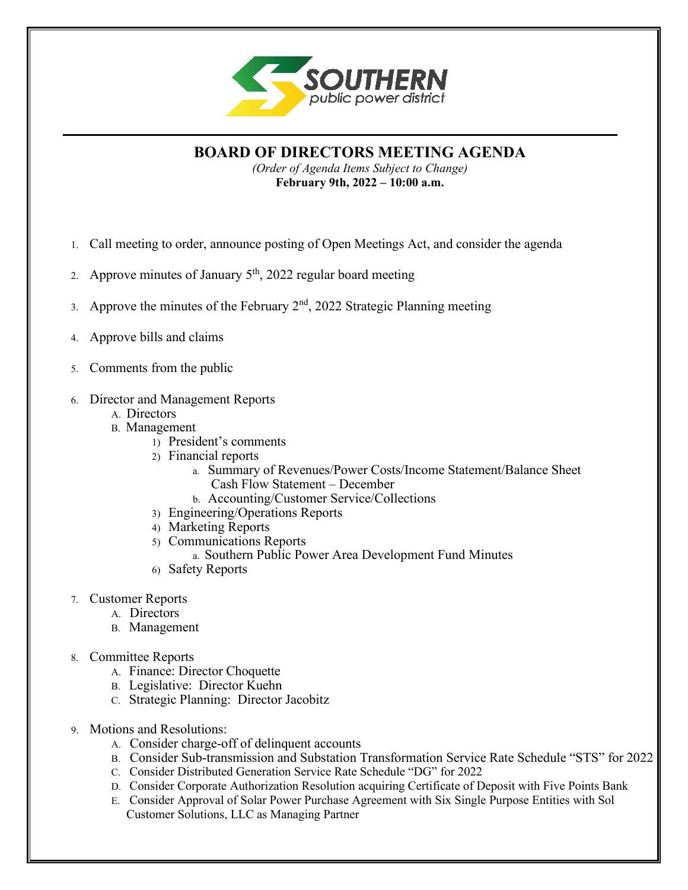

**BOARD OF DIRECTORS MEETING AGENDA**

*(Order of Agenda Items Subject to Change)* **February 9th, 2022 – 10:00 a.m.**

- 1. Call meeting to order, announce posting of Open Meetings Act, and consider the agenda
- 2. Approve minutes of January  $5<sup>th</sup>$ , 2022 regular board meeting
- 3. Approve the minutes of the February  $2<sup>nd</sup>$ , 2022 Strategic Planning meeting
- 4. Approve bills and claims
- 5. Comments from the public
- 6. Director and Management Reports
	- A. Directors
	- B. Management
		- 1) President's comments
		- 2) Financial reports
			- a. Summary of Revenues/Power Costs/Income Statement/Balance Sheet Cash Flow Statement – December
			- b. Accounting/Customer Service/Collections
		- 3) Engineering/Operations Reports
		- 4) Marketing Reports
		- 5) Communications Reports
			- a. Southern Public Power Area Development Fund Minutes
		- 6) Safety Reports
- 7. Customer Reports
	- A. Directors
	- B. Management
- 8. Committee Reports
	- A. Finance: Director Choquette
	- B. Legislative: Director Kuehn
	- C. Strategic Planning: Director Jacobitz
- 9. Motions and Resolutions:
	- A. Consider charge-off of delinquent accounts
	- B. Consider Sub-transmission and Substation Transformation Service Rate Schedule "STS" for 2022
	- C. Consider Distributed Generation Service Rate Schedule "DG" for 2022
	- D. Consider Corporate Authorization Resolution acquiring Certificate of Deposit with Five Points Bank
	- E. Consider Approval of Solar Power Purchase Agreement with Six Single Purpose Entities with Sol Customer Solutions, LLC as Managing Partner